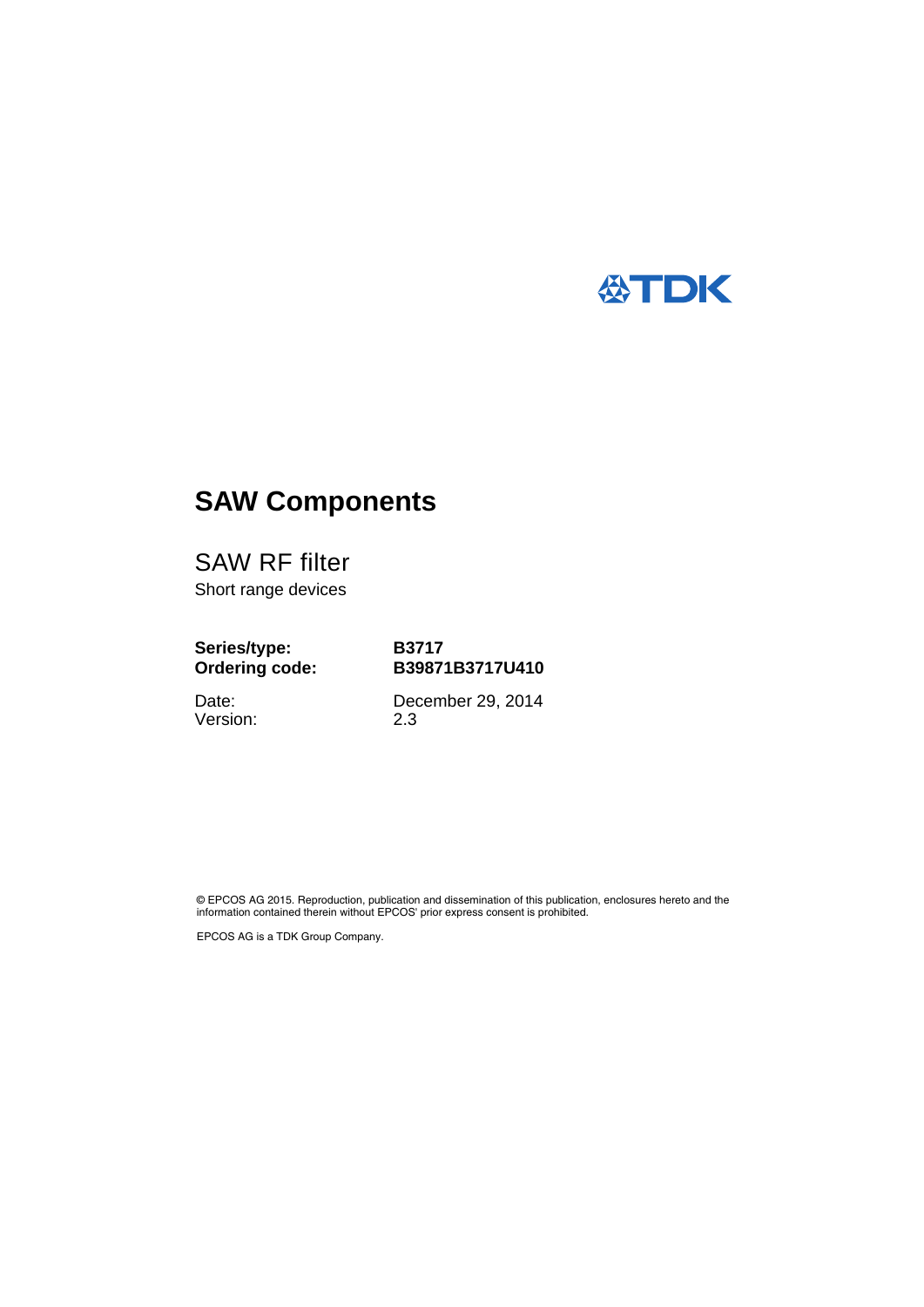

# **SAW Components**

SAW RF filter Short range devices

# **Series/type: Ordering code:**

**B3717 B39871B3717U410**

Date: Version: December 29, 2014 2.3

© EPCOS AG 2015. Reproduction, publication and dissemination of this publication, enclosures hereto and the information contained therein without EPCOS' prior express consent is prohibited.

EPCOS AG is a TDK Group Company.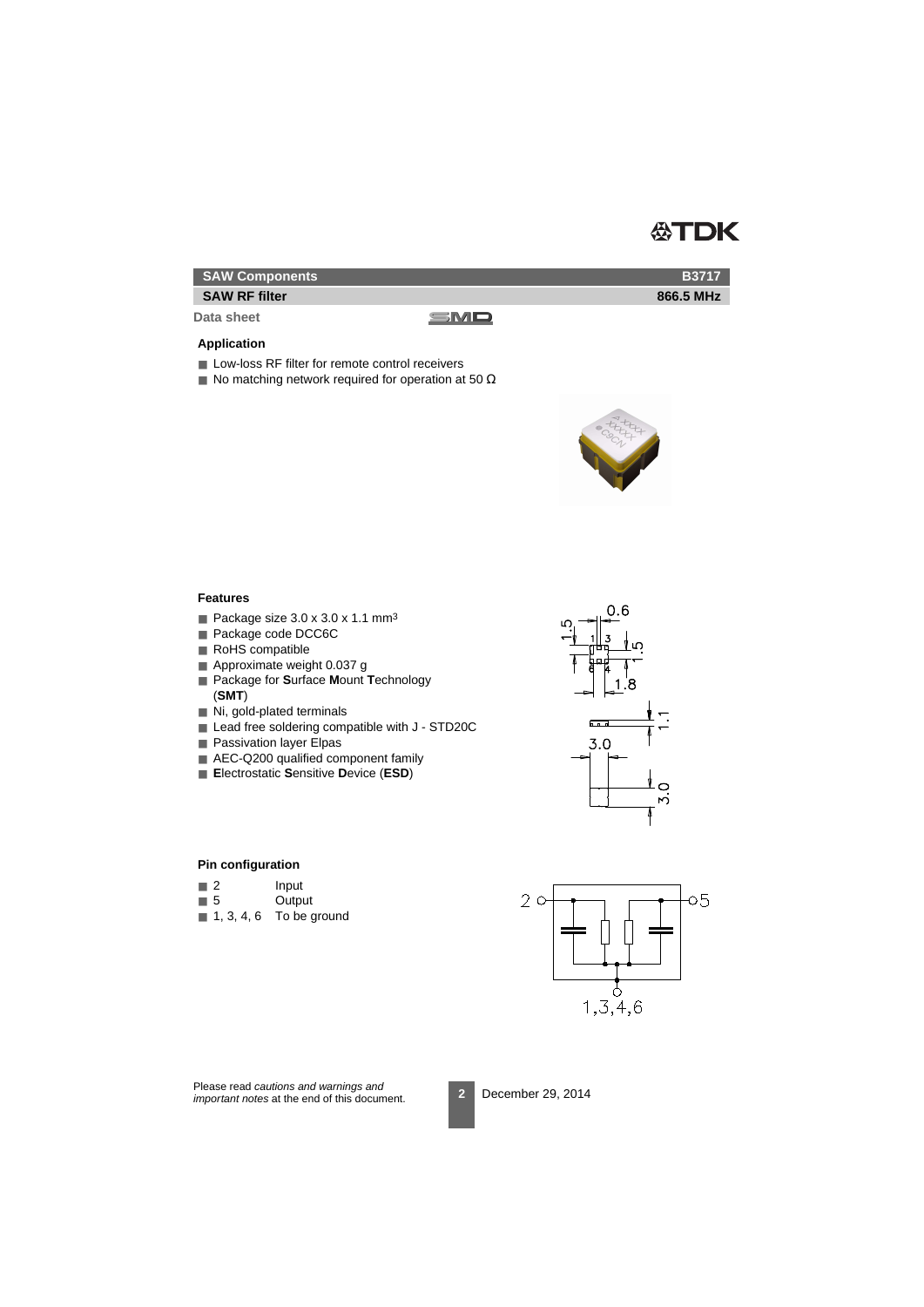

**B3717 866.5 MHz**

### **SAW Components**

#### **SAW RF filter**

**Data sheet**

#### **Application**

- Low-loss RF filter for remote control receivers
- $\blacksquare$  No matching network required for operation at 50  $\Omega$

SMD



#### **Features**

- Package size  $3.0 \times 3.0 \times 1.1 \text{ mm}^3$
- Package code DCC6C
- RoHS compatible
- Approximate weight 0.037 g
- Package for **S**urface **M**ount **T**echnology (**SMT**)
- Ni, gold-plated terminals
- Lead free soldering compatible with J STD20C
- Passivation layer Elpas
- AEC-Q200 qualified component family
- **E**lectrostatic **S**ensitive **D**evice (**ESD**)



#### **Pin configuration**

- 2 Input
- 5 Output
- $\blacksquare$  1, 3, 4, 6 To be ground



Please read cautions and warnings and important notes at the end of this document.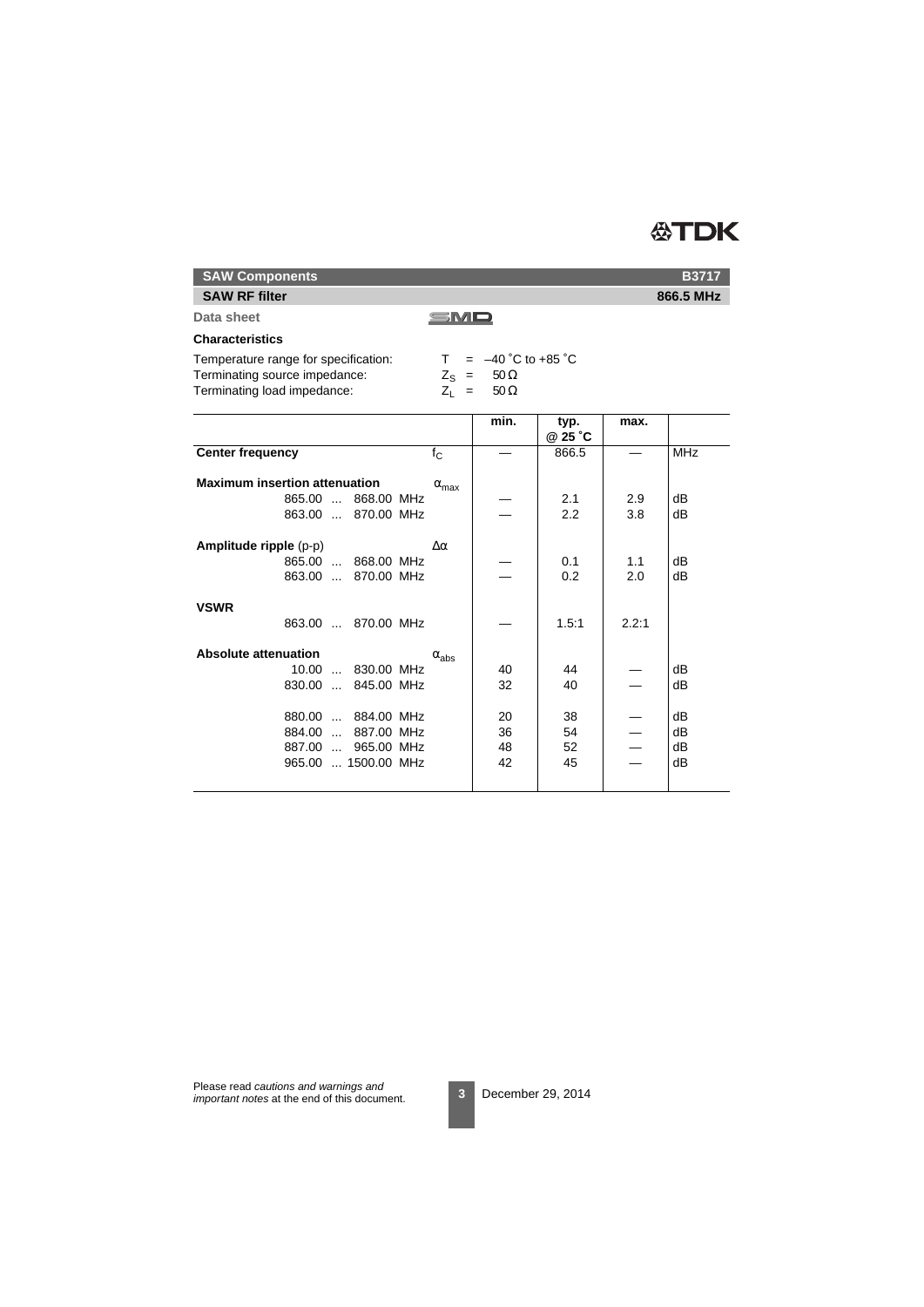# **公TDK**

**SAW Components**

### **SAW RF filter**

**Data sheet**

#### SMD

### **Characteristics**

| Temperature range for specification: | $= -40 \degree C$ to +85 $\degree C$ |  |
|--------------------------------------|--------------------------------------|--|
| Terminating source impedance:        | $Z_{\rm e}$ = 50 $\Omega$            |  |
| Terminating load impedance:          | $Z_1 = 50 \Omega$                    |  |

|       | <b>MHz</b> |
|-------|------------|
|       |            |
|       | dВ         |
| 3.8   | dB         |
|       |            |
| 1.1   | dВ         |
| 2.0   | dВ         |
|       |            |
| 2.2:1 |            |
|       |            |
|       | dВ         |
|       | dВ         |
|       | dВ         |
|       | dВ         |
|       | dB         |
|       | dВ         |
|       | 2.9        |

**B3717**

**866.5 MHz**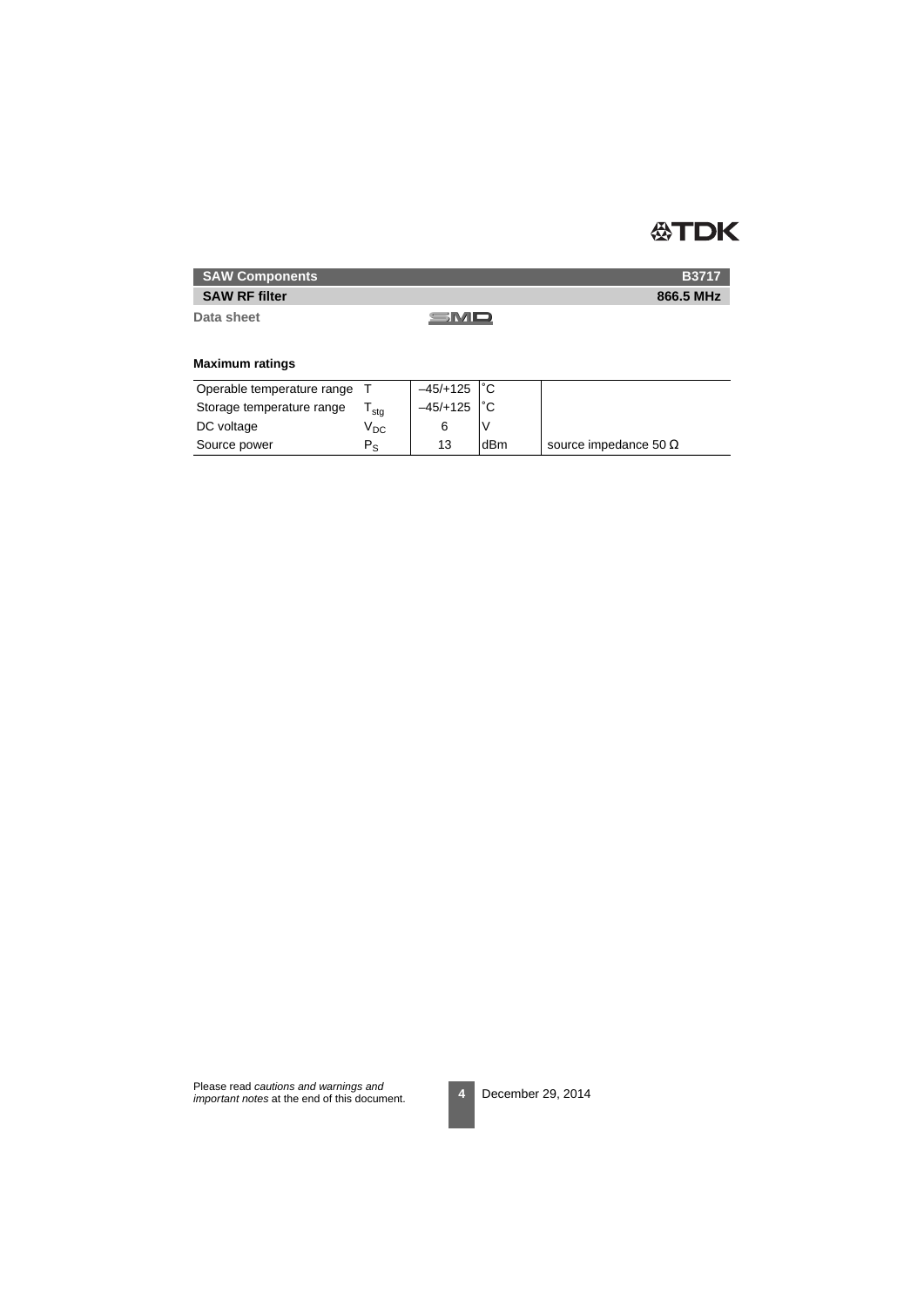

**B3717 866.5 MHz**

## **SAW Components**

### **SAW RF filter**

**Data sheet**

SMD

### **Maximum ratings**

| Operable temperature range |                 | $-45/+125$ $\degree$ C |     |                              |
|----------------------------|-----------------|------------------------|-----|------------------------------|
| Storage temperature range  | stg             | $-45/+125$             |     |                              |
| DC voltage                 | V <sub>DC</sub> |                        |     |                              |
| Source power               | P.              | 13                     | dBm | source impedance 50 $\Omega$ |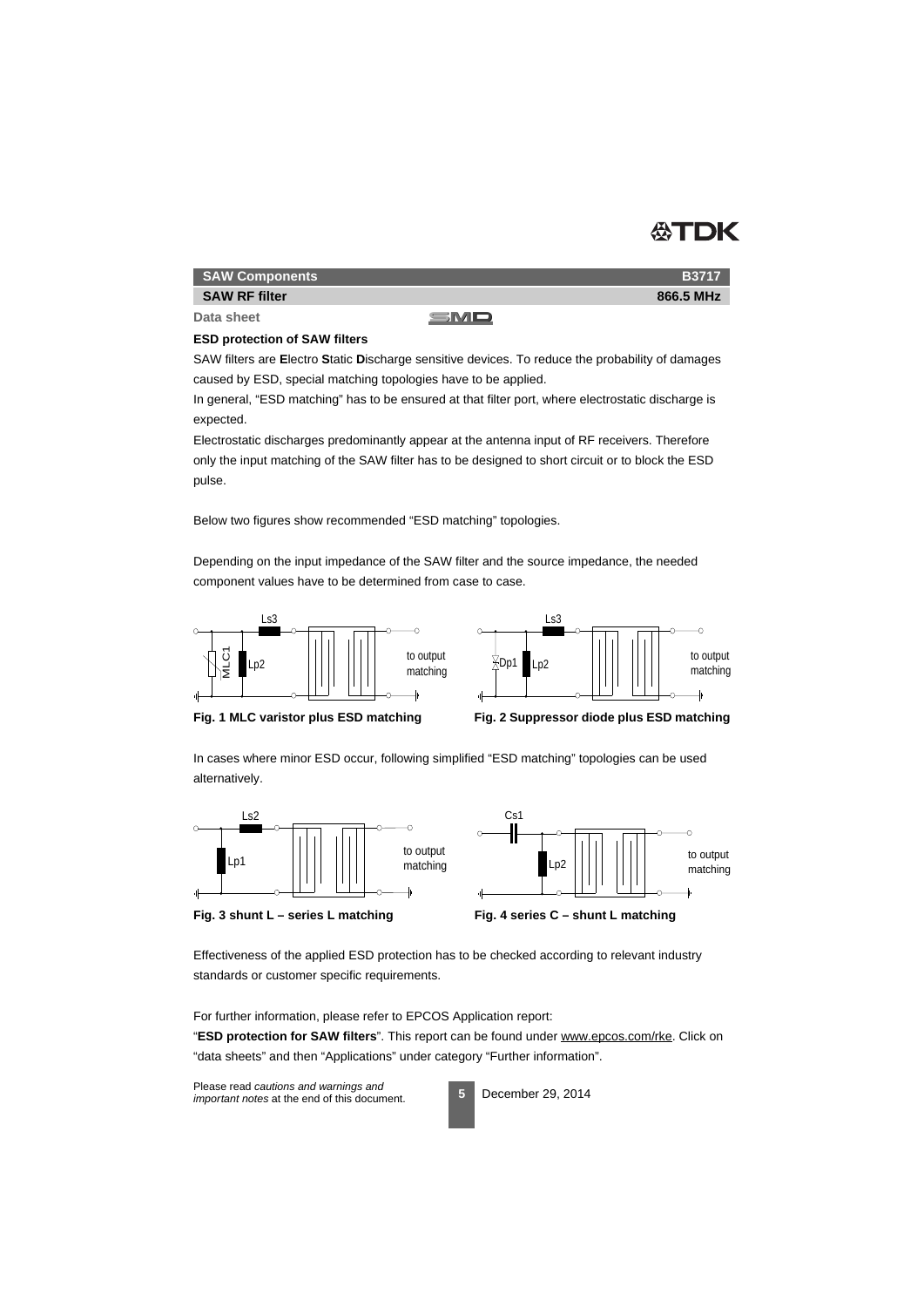

**B3717 866.5 MHz**

#### **SAW Components**

#### **SAW RF filter**

**Data sheet**

#### SMD

### **ESD protection of SAW filters**

SAW filters are **E**lectro **S**tatic **D**ischarge sensitive devices. To reduce the probability of damages caused by ESD, special matching topologies have to be applied.

In general, "ESD matching" has to be ensured at that filter port, where electrostatic discharge is expected.

Electrostatic discharges predominantly appear at the antenna input of RF receivers. Therefore only the input matching of the SAW filter has to be designed to short circuit or to block the ESD pulse.

Below two figures show recommended "ESD matching" topologies.

Depending on the input impedance of the SAW filter and the source impedance, the needed component values have to be determined from case to case.







In cases where minor ESD occur, following simplified "ESD matching" topologies can be used alternatively.







Effectiveness of the applied ESD protection has to be checked according to relevant industry standards or customer specific requirements.

For further information, please refer to EPCOS Application report:

"**ESD protection for SAW filters**". This report can be found under www.epcos.com/rke. Click on "data sheets" and then "Applications" under category "Further information".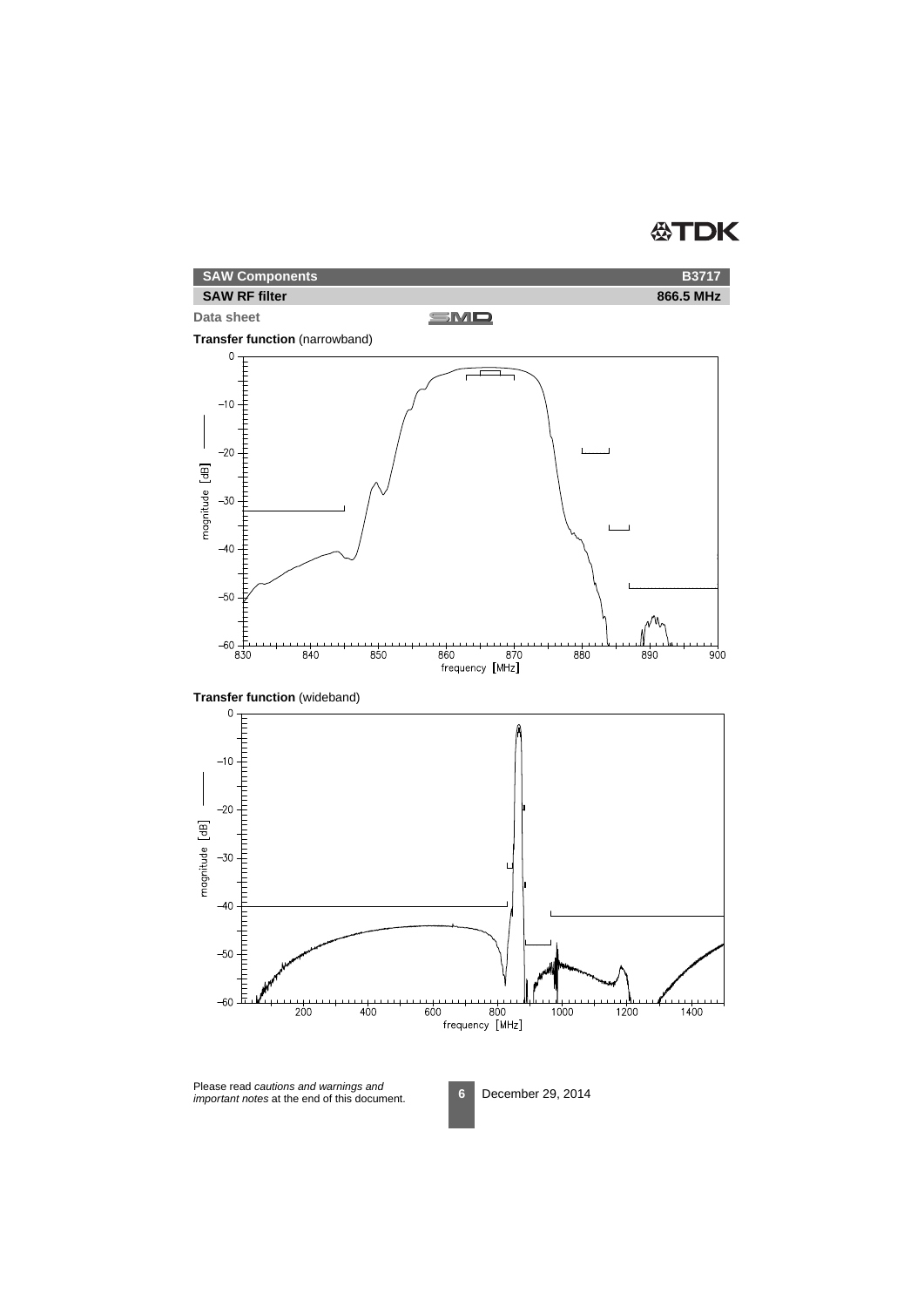# **公TDK**

| <b>SAW Components</b> |     | <b>B3717</b> |
|-----------------------|-----|--------------|
| <b>SAW RF filter</b>  |     | 866.5 MHz    |
| Data sheet            | SMD |              |

#### **Data sheet**







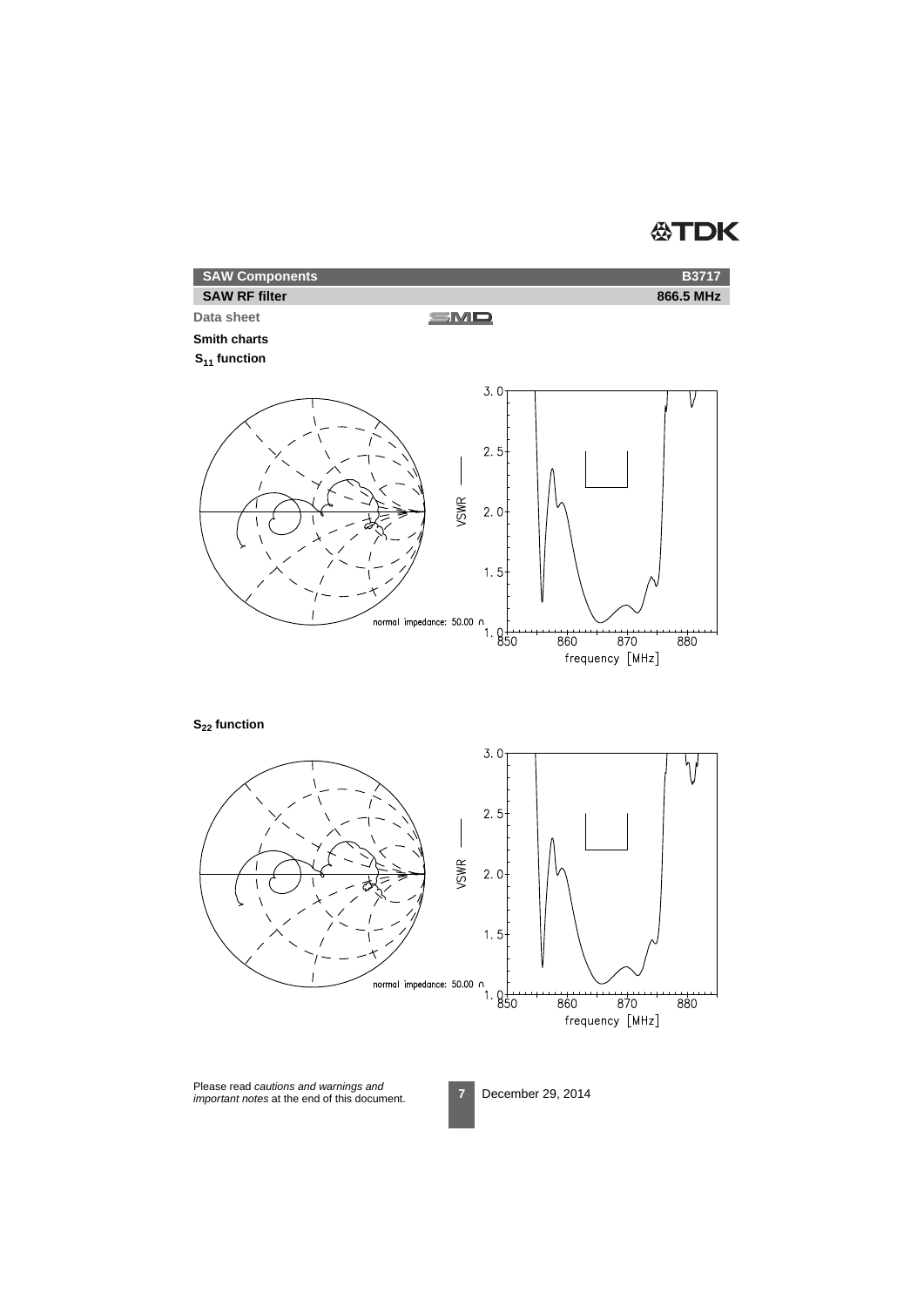# **公TDK**

| <b>SAW Components</b> |     | <b>B3717</b> |
|-----------------------|-----|--------------|
| <b>SAW RF filter</b>  |     | 866.5 MHz    |
| Data sheet            | SMD |              |

#### **Smith charts**

**S11 function**



**S22 function**

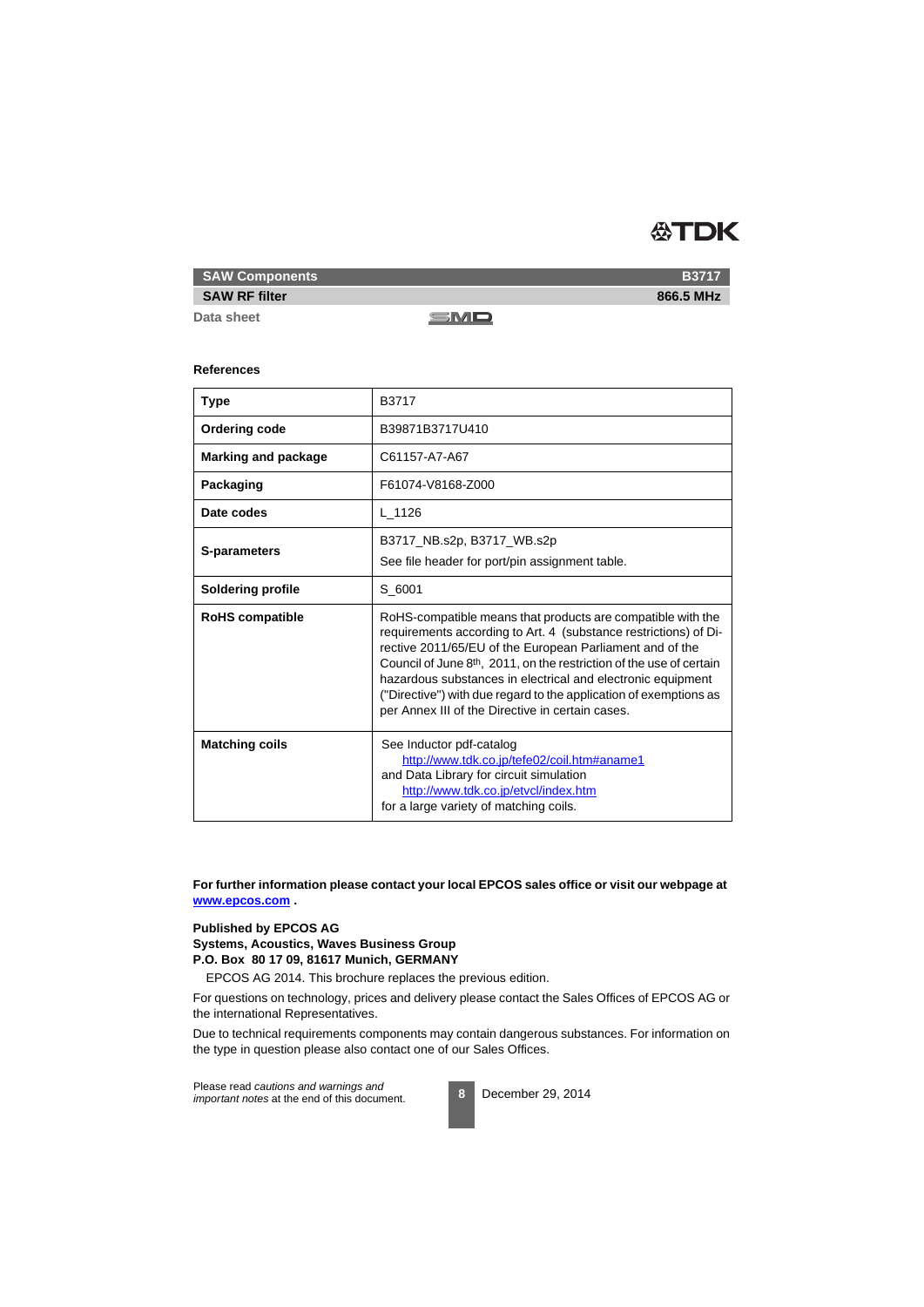

**SAW Components**

#### **SAW RF filter**

**Data sheet**

SMD

#### **References**

| <b>Type</b>                | B3717                                                                                                                                                                                                                                                                                                                                                                                                                                                                   |
|----------------------------|-------------------------------------------------------------------------------------------------------------------------------------------------------------------------------------------------------------------------------------------------------------------------------------------------------------------------------------------------------------------------------------------------------------------------------------------------------------------------|
| <b>Ordering code</b>       | B39871B3717U410                                                                                                                                                                                                                                                                                                                                                                                                                                                         |
| <b>Marking and package</b> | C61157-A7-A67                                                                                                                                                                                                                                                                                                                                                                                                                                                           |
| Packaging                  | F61074-V8168-Z000                                                                                                                                                                                                                                                                                                                                                                                                                                                       |
| Date codes                 | $L_{1126}$                                                                                                                                                                                                                                                                                                                                                                                                                                                              |
| S-parameters               | B3717_NB.s2p, B3717_WB.s2p<br>See file header for port/pin assignment table.                                                                                                                                                                                                                                                                                                                                                                                            |
| <b>Soldering profile</b>   | S 6001                                                                                                                                                                                                                                                                                                                                                                                                                                                                  |
| <b>RoHS</b> compatible     | RoHS-compatible means that products are compatible with the<br>requirements according to Art. 4 (substance restrictions) of Di-<br>rective 2011/65/EU of the European Parliament and of the<br>Council of June 8 <sup>th</sup> , 2011, on the restriction of the use of certain<br>hazardous substances in electrical and electronic equipment<br>("Directive") with due regard to the application of exemptions as<br>per Annex III of the Directive in certain cases. |
| <b>Matching coils</b>      | See Inductor pdf-catalog<br>http://www.tdk.co.jp/tefe02/coil.htm#aname1<br>and Data Library for circuit simulation<br>http://www.tdk.co.jp/etvcl/index.htm<br>for a large variety of matching coils.                                                                                                                                                                                                                                                                    |

**For further information please contact your local EPCOS sales office or visit our webpage at www.epcos.com .**

#### **Published by EPCOS AG Systems, Acoustics, Waves Business Group P.O. Box 80 17 09, 81617 Munich, GERMANY**

EPCOS AG 2014. This brochure replaces the previous edition.

For questions on technology, prices and delivery please contact the Sales Offices of EPCOS AG or the international Representatives.

Due to technical requirements components may contain dangerous substances. For information on the type in question please also contact one of our Sales Offices.



**866.5 MHz**